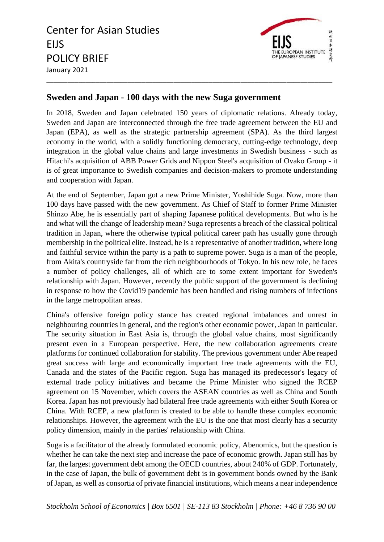Center for Asian Studies EIJS POLICY BRIEF January 2021 \_\_\_\_\_\_\_\_\_\_\_\_\_\_\_\_\_\_\_\_\_\_\_\_\_\_\_\_\_\_\_\_\_\_\_\_\_\_\_\_\_\_\_\_\_\_\_\_\_\_\_\_\_\_\_\_\_\_\_\_\_\_\_\_\_\_\_\_\_\_\_\_\_\_\_\_\_\_\_\_\_



## **Sweden and Japan - 100 days with the new Suga government**

In 2018, Sweden and Japan celebrated 150 years of diplomatic relations. Already today, Sweden and Japan are interconnected through the free trade agreement between the EU and Japan (EPA), as well as the strategic partnership agreement (SPA). As the third largest economy in the world, with a solidly functioning democracy, cutting-edge technology, deep integration in the global value chains and large investments in Swedish business - such as Hitachi's acquisition of ABB Power Grids and Nippon Steel's acquisition of Ovako Group - it is of great importance to Swedish companies and decision-makers to promote understanding and cooperation with Japan.

At the end of September, Japan got a new Prime Minister, Yoshihide Suga. Now, more than 100 days have passed with the new government. As Chief of Staff to former Prime Minister Shinzo Abe, he is essentially part of shaping Japanese political developments. But who is he and what will the change of leadership mean? Suga represents a breach of the classical political tradition in Japan, where the otherwise typical political career path has usually gone through membership in the political elite. Instead, he is a representative of another tradition, where long and faithful service within the party is a path to supreme power. Suga is a man of the people, from Akita's countryside far from the rich neighbourhoods of Tokyo. In his new role, he faces a number of policy challenges, all of which are to some extent important for Sweden's relationship with Japan. However, recently the public support of the government is declining in response to how the Covid19 pandemic has been handled and rising numbers of infections in the large metropolitan areas.

China's offensive foreign policy stance has created regional imbalances and unrest in neighbouring countries in general, and the region's other economic power, Japan in particular. The security situation in East Asia is, through the global value chains, most significantly present even in a European perspective. Here, the new collaboration agreements create platforms for continued collaboration for stability. The previous government under Abe reaped great success with large and economically important free trade agreements with the EU, Canada and the states of the Pacific region. Suga has managed its predecessor's legacy of external trade policy initiatives and became the Prime Minister who signed the RCEP agreement on 15 November, which covers the ASEAN countries as well as China and South Korea. Japan has not previously had bilateral free trade agreements with either South Korea or China. With RCEP, a new platform is created to be able to handle these complex economic relationships. However, the agreement with the EU is the one that most clearly has a security policy dimension, mainly in the parties' relationship with China.

Suga is a facilitator of the already formulated economic policy, Abenomics, but the question is whether he can take the next step and increase the pace of economic growth. Japan still has by far, the largest government debt among the OECD countries, about 240% of GDP. Fortunately, in the case of Japan, the bulk of government debt is in government bonds owned by the Bank of Japan, as well as consortia of private financial institutions, which means a near independence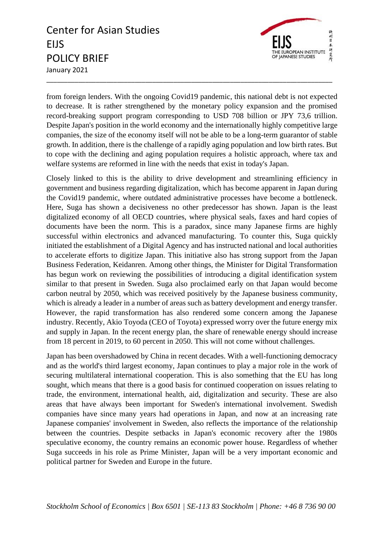## Center for Asian Studies EIJS POLICY BRIEF January 2021



from foreign lenders. With the ongoing Covid19 pandemic, this national debt is not expected to decrease. It is rather strengthened by the monetary policy expansion and the promised record-breaking support program corresponding to USD 708 billion or JPY 73,6 trillion. Despite Japan's position in the world economy and the internationally highly competitive large companies, the size of the economy itself will not be able to be a long-term guarantor of stable growth. In addition, there is the challenge of a rapidly aging population and low birth rates. But to cope with the declining and aging population requires a holistic approach, where tax and welfare systems are reformed in line with the needs that exist in today's Japan.

\_\_\_\_\_\_\_\_\_\_\_\_\_\_\_\_\_\_\_\_\_\_\_\_\_\_\_\_\_\_\_\_\_\_\_\_\_\_\_\_\_\_\_\_\_\_\_\_\_\_\_\_\_\_\_\_\_\_\_\_\_\_\_\_\_\_\_\_\_\_\_\_\_\_\_\_\_\_\_\_\_

Closely linked to this is the ability to drive development and streamlining efficiency in government and business regarding digitalization, which has become apparent in Japan during the Covid19 pandemic, where outdated administrative processes have become a bottleneck. Here, Suga has shown a decisiveness no other predecessor has shown. Japan is the least digitalized economy of all OECD countries, where physical seals, faxes and hard copies of documents have been the norm. This is a paradox, since many Japanese firms are highly successful within electronics and advanced manufacturing. To counter this, Suga quickly initiated the establishment of a Digital Agency and has instructed national and local authorities to accelerate efforts to digitize Japan. This initiative also has strong support from the Japan Business Federation, Keidanren. Among other things, the Minister for Digital Transformation has begun work on reviewing the possibilities of introducing a digital identification system similar to that present in Sweden. Suga also proclaimed early on that Japan would become carbon neutral by 2050, which was received positively by the Japanese business community, which is already a leader in a number of areas such as battery development and energy transfer. However, the rapid transformation has also rendered some concern among the Japanese industry. Recently, Akio Toyoda (CEO of Toyota) expressed worry over the future energy mix and supply in Japan. In the recent energy plan, the share of renewable energy should increase from 18 percent in 2019, to 60 percent in 2050. This will not come without challenges.

Japan has been overshadowed by China in recent decades. With a well-functioning democracy and as the world's third largest economy, Japan continues to play a major role in the work of securing multilateral international cooperation. This is also something that the EU has long sought, which means that there is a good basis for continued cooperation on issues relating to trade, the environment, international health, aid, digitalization and security. These are also areas that have always been important for Sweden's international involvement. Swedish companies have since many years had operations in Japan, and now at an increasing rate Japanese companies' involvement in Sweden, also reflects the importance of the relationship between the countries. Despite setbacks in Japan's economic recovery after the 1980s speculative economy, the country remains an economic power house. Regardless of whether Suga succeeds in his role as Prime Minister, Japan will be a very important economic and political partner for Sweden and Europe in the future.